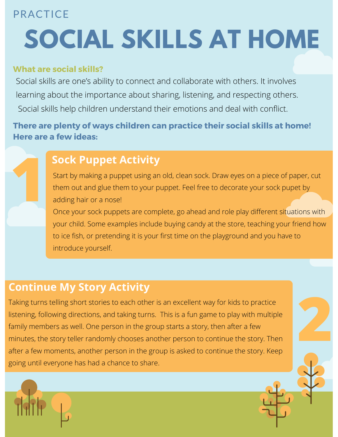## **PRACTICF**

# SOCIAL SKILLS AT HOME

#### **What are social skills?**

Social skills are one's ability to connect and collaborate with others. It involves learning about the importance about sharing, listening, and respecting others. Social skills help children understand their emotions and deal with conflict.

#### There are plenty of ways children can practice their social skills at home! Here are a few ideas:

# **Sock Puppet Activity**

Start by making a puppet using an old, clean sock. Draw eyes on a piece of paper, cut them out and glue them to your puppet. Feel free to decorate your sock pupet by adding hair or a nose!

Once your sock puppets are complete, go ahead and role play different situations with your child. Some examples include buying candy at the store, teaching your friend how to ice fish, or pretending it is your first time on the playground and you have to introduce yourself.

### **Continue My Story Activity**

Taking turns telling short stories to each other is an excellent way for kids to practice listening, following directions, and taking turns. This is a fun game to play with multiple family members as well. One person in the group starts a story, then after a few minutes, the story teller randomly chooses another person to continue the story. Then after a few moments, another person in the group is asked to continue the story. Keep going until everyone has had a chance to share.